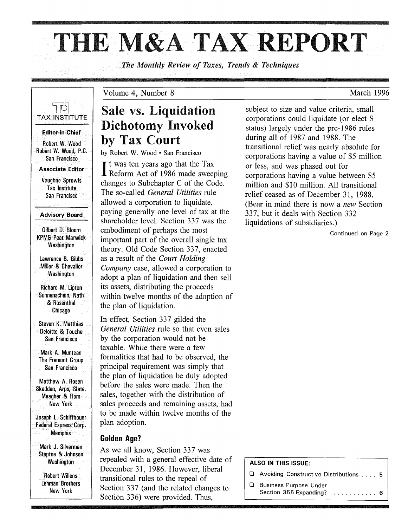# THE M&A TAX REPORT

*The Monthly Review of Taxes, Trends* & *Techniques* 



Gilbert D. Bloom KPMG Peat Marwick **Washington** 

Lawrence B. Gibbs Miller & Chevalier **Washington** 

Richard M. Lipton Sonnenschein, Nath & Rosenthal Chicago

Steven K. Matthias Deloitte & Touche San Francisco

Mark A. Muntean The Fremont Group San Francisco

Matthew A. Rosen Skadden, Arps, Slate, Meagher & Flam New York

Joseph L. Schiffhouer Federal Express Corp. Memphis

Mark J. Silverman Steptoe & Johnson Washington

Robert Willens Lehman Brothers New York

## Sale vs. Liquidation Dichotomy Invoked by Tax Court

by Robert W. Wood· San Francisco

Volume 4, Number 8

It was ten years ago that the Tax<br>Reform Act of 1986 made sweeping t was ten years ago that the Tax changes to Subchapter C of the Code. The so-called *General Utilities* rule allowed a corporation to liquidate, paying generally one level of tax at the shareholder level. Section 337 was the embodiment of perhaps the most important part of the overall single tax theory. Old Code Section 337, enacted as a result of the *Court Holding Company* case, allowed a corporation to adopt a plan of liquidation and then sell its assets, distributing the proceeds within twelve months of the adoption of the plan of liquidation.

In effect, Section 337 gilded the *General Utilities* rule so that even sales by the corporation would not be taxable. While there were a few formalities that had to be observed, the principal requirement was simply that the plan of liquidation be duly adopted before the sales were made. Then the sales, together with the distribution of sales proceeds and remaining assets, had to be made within twelve months of the plan adoption.

#### **Golden Age?**

As we all know, Section 337 was repealed with a general effective date of December 31, 1986. However, liberal transitional rules to the repeal of Section 337 (and the related changes to Section 336) were provided. Thus,

subject to size and value criteria, small corporations could liquidate (or elect S status) largely under the pre-1986 rules during all of 1987 and 1988. The transitional relief was nearly absolute for corporations having a value of \$5 million or less, and was phased out for corporations having a value between \$5 million and \$10 million. All transitional relief ceased as of December 31, 1988. (Bear in mind there is now a *new* Section 337, but it deals with Section 332 liquidations of subsidiaries.)

Continued on Page 2

#### ALSO IN THIS ISSUE:

- o Avoiding Constructive Distributions .... 5
- **Q** Business Purpose Under Section 355 Expanding? ............. 6

March 1996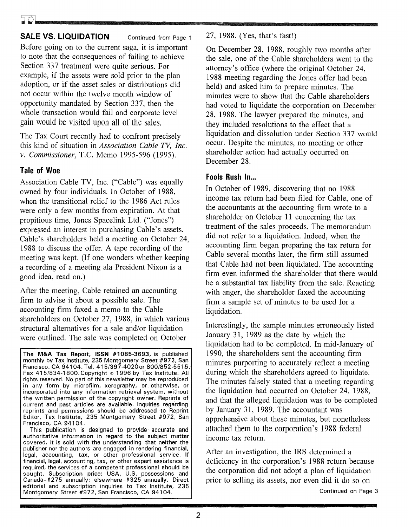#### **SALE VS. LIQUIDATION** Continued from Page 1

Before going on to the current saga, it is important to note that the consequences of failing to achieve Section 337 treatment were quite serious. For example, if the assets were sold prior to the plan adoption, or if the asset sales or distributions did not occur within the twelve month window of opportunity mandated by Section 337, then the whole transaction would fail and corporate level gain would be visited upon all of the sales.

The Tax Court recently had to confront precisely this kind of situation in *Association Cable* TV, *Inc. v. Commissioner,* T.C. Memo 1995-596 (1995).

#### **Tale of Woe**

Association Cable TV, Inc. ("Cable") was equally owned by four individuals. In October of 1988, when the transitional relief to the 1986 Act rules were only a few months from expiration. At that propitious time, Jones Spacelink Ltd. ("Jones") expressed an interest in purchasing Cable's assets. Cable's shareholders held a meeting on October 24, 1988 to discuss the offer. A tape recording of the meeting was kept. (If one wonders whether keeping a recording of a meeting ala President Nixon is a good idea, read on.)

After the meeting, Cable retained an accounting firm to advise it about a possible sale. The accounting firm faxed a memo to the Cable shareholders on October 27, 1988, in which various structural alternatives for a sale and/or liquidation were outlined. The sale was completed on October

**The M&A Tax** Report, **ISSN** #1085-3693, is published monthly by Tax Institute, 235 Montgomery Street #972, San Francisco, CA 94104, Tel. 41 5/397-40200r 800/852-5515, Fax 415/834-1800. Copyright © 1996 by Tax Institute. All rights reserved. No part of this newsletter may be reproduced in any form by microfilm, xerography, or otherwise, or incorporated into any information retrieval system, without the written permission of the copyright owner. Reprints of current and past articles are available. Inquiries regarding reprints and permissions should be addressed to Reprint Editor, Tax Institute, 235 Montgomery Street #972, San Francisco, CA 94104.

This publication is designed to provide accurate and authoritative information in regard to the subject matter covered. It is sold with the understanding that neither the publisher nor the authors are engaged in rendering financial, legal, accounting, tax, or other professional service. If financial, legal, accounting, tax, or other expert assistance is required, the services of a competent professional should be sought. Subscription price: USA, U.S. possessions and Canada-\$275 annually; elsewhere-\$325 annually. Direct editorial and subscription inquiries to Tax Institute, 235 Montgomery Street #972, San Francisco, CA 94104.

27, 1988. (Yes, that's fast!)

On December 28, 1988, roughly two months after the sale, one of the Cable shareholders went to the attorney's office (where the original October 24, 1988 meeting regarding the Jones offer had been held) and asked him to prepare minutes. The minutes were to show that the Cable shareholders had voted to liquidate the corporation on December 28, 1988. The lawyer prepared the minutes, and they included resolutions to the effect that a liquidation and dissolution under Section 337 would occur. Despite the minutes, no meeting or other shareholder action had actually occurred on December 28.

#### **Fools Rush In...**

In October of 1989, discovering that no 1988 income tax return had been filed for Cable, one of the accountants at the accounting firm wrote to a shareholder on October 11 concerning the tax treatment of the sales proceeds. The memorandum did not refer to a liquidation. Indeed, when the accounting firm began preparing the tax return for Cable several months later, the firm still assumed that Cable had not been liquidated. The accounting firm even informed the shareholder that there would be a substantial tax liability from the sale. Reacting with anger, the shareholder faxed the accounting firm a sample set of minutes to be used for a liquidation.

Interestingly, the sample minutes erroneously listed January 31, 1989 as the date by which the liquidation had to be completed. In mid-January of 1990, the shareholders sent the accounting firm minutes purporting to accurately reflect a meeting during which the shareholders agreed to liquidate. The minutes falsely stated that a meeting regarding the liquidation had occurred on October 24, 1988, and that the alleged liquidation was to be completed by January 31, 1989. The accountant was apprehensive about these minutes, but nonetheless attached them to the corporation's 1988 federal income tax return.

After an investigation, the IRS determined a deficiency in the corporation's 1988 return because the corporation did not adopt a plan of liquidation prior to selling its assets, nor even did it do so on

Continued on Page 3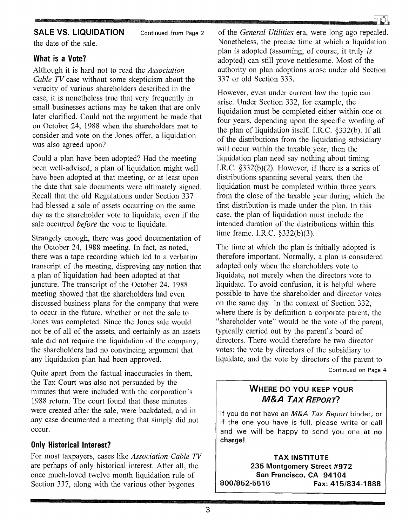Continued from Page 2

the date of the sale.

#### What is a Vote?

Although it is hard not to read the *Association Cable TV* case without some skepticism about the veracity of various shareholders described in the case, it is nonetheless true that very frequently in small businesses actions may be taken that are only later clarified. Could not the argument be made that on October 24, 1988 when the shareholders met to consider and vote on the Jones offer, a liquidation was also agreed upon?

Could a plan have been adopted? Had the meeting been well-advised, a plan of liquidation might well have been adopted at that meeting, or at least upon the date that sale documents were ultimately signed. Recall that the old Regulations under Section 337 had blessed a sale of assets occurring on the same day as the shareholder vote to liquidate, even if the sale occurred *before* the vote to liquidate.

Strangely enough, there was good documentation of the October 24, 1988 meeting. In fact, as noted, there was a tape recording which led to a verbatim transcript of the meeting, disproving any notion that a plan of liquidation had been adopted at that juncture. The transcript of the October 24, 1988 meeting showed that the shareholders had even discussed business plans for the company that were to occur in the future, whether or not the sale to Jones was completed. Since the Jones sale would not be of all of the assets, and certainly as an assets sale did not require the liquidation of the company, the shareholders had no convincing argument that any liquidation plan had been approved.

Quite apart from the factual inaccuracies in them, the Tax Court was also not persuaded by the minutes that were included with the corporation's 1988 return. The court found that these minutes were created after the sale, were backdated, and in any case documented a meeting that simply did not occur.

#### Only Historical Interest?

For most taxpayers, cases like *Association Cable TV*  are perhaps of only historical interest. After all, the once much-loved twelve month liquidation rule of Section 337, along with the various other bygones

SALE VS. LIQUIDATION Continued from Page 2 of the *General Utilities* era, were long ago repealed. Nonetheless, the precise time at which a liquidation plan is adopted (assuming, of course, it truly *is*  adopted) can still prove nettlesome. Most of the authority on plan adoptions arose under old Section 337 or old Section 333.

> However, even under current law the topic can arise. Under Section 332, for example, the liquidation must be completed either within one or four years, depending upon the specific wording of the plan of liquidation itself. LR.C. §332(b). If all of the distributions from the liquidating subsidiary will occur within the taxable year, then the liquidation plan need say nothing about timing. LR.C. §332(b)(2). However, if there is a series of distributions spanning several years, then the liquidation must be completed within three years from the close of the taxable year during which the first distribution is made under the plan. In this case, the plan of liquidation must include the intended duration of the distributions within this time frame. LR.C. §332(b)(3).

> The time at which the plan is initially adopted is therefore important. Normally, a plan is considered adopted only when the shareholders vote to liquidate, not merely when the directors vote to liquidate. To avoid confusion, it is helpful where possible to have the shareholder and director votes on the same day. In the context of Section 332, where there is by definition a corporate parent, the "shareholder vote" would be the vote of the parent, typically carried out by the parent's board of directors. There would therefore be two director votes: the vote by directors of the subsidiary to liquidate, and the vote by directors of the parent to Continued on Page 4

#### WHERE DO YOU KEEP YOUR M&A *TAX* REPORT?

If you do not have an M&A Tax Report binder, or if the one you have is full, please write or call and we will be happy to send you one at no charge!

**TAX INSTITUTE** 235 Montgomery Street #972 San Francisco, CA 94104 800/852-5515 Fax: 415/834-1888